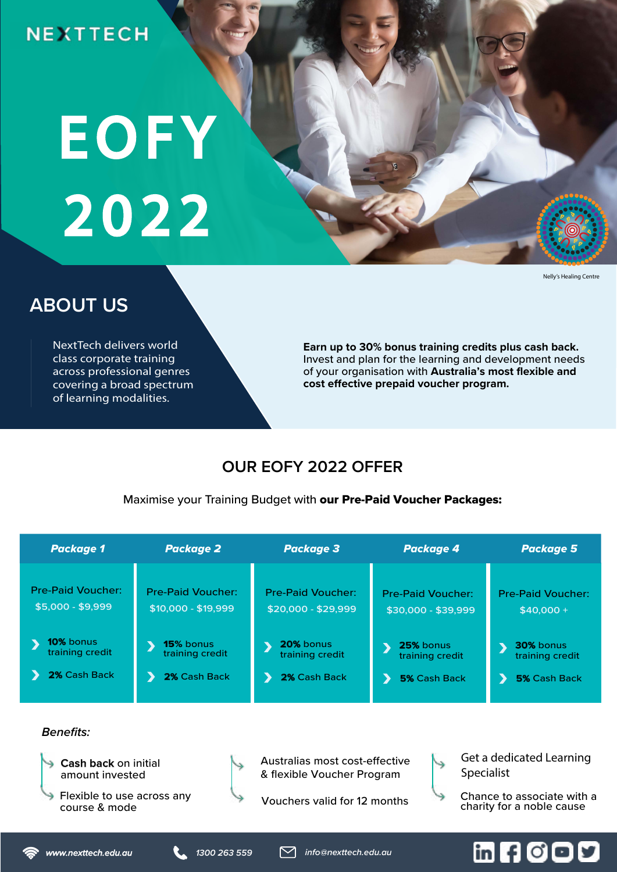# **NEXTTECH**

# EOFY 2022

#### Nelly's Healing Centre

# **ABOUT US**

NextTech delivers world class corporate training across professional genres covering a broad spectrum of learning modalities.

**Earn up to 30% bonus training credits plus cash back.**  Invest and plan for the learning and development needs of your organisation with **Australia's most flexible and cost effective prepaid voucher program.** 

## **OUR EOFY 2022 OFFER**

Maximise your Training Budget with our Pre-Paid Voucher Packages:

| <b>Package 1</b>         | <b>Package 2</b>         | <b>Package 3</b>         | <b>Package 4</b>         | <b>Package 5</b>         |
|--------------------------|--------------------------|--------------------------|--------------------------|--------------------------|
| <b>Pre-Paid Voucher:</b> | <b>Pre-Paid Voucher:</b> | <b>Pre-Paid Voucher:</b> | <b>Pre-Paid Voucher:</b> | <b>Pre-Paid Voucher:</b> |
| $$5,000 - $9,999$        | \$10,000 - \$19,999      | \$20,000 - \$29,999      | \$30,000 - \$39,999      | $$40.000 +$              |
| 10% bonus                | <b>15%</b> bonus         | 20% bonus                | 25% bonus                | <b>30%</b> bonus         |
| training credit          | training credit          | training credit          | training credit          | training credit          |
| 2% Cash Back             | 2% Cash Back             | 2% Cash Back             | <b>5% Cash Back</b>      | <b>5%</b> Cash Back      |

### **Benefits:**



Get a dedicated Learning Specialist

Vouchers valid for 12 months

course & mode

# m 8000

Chance to associate with a charity for a noble cause